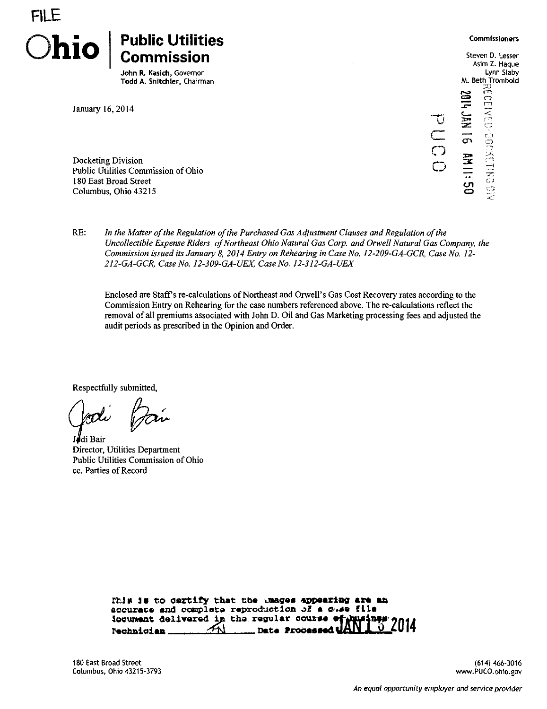

John R. Kasich, Governor Todd A. Snitchler, Chairman

January 16, 2014

Docketing Division Public Utilities Commission of Ohio 180 East Broad Street Columbus, Ohio 43215

o Steven D. Lesser Asim Z. Haque Lynn Slaby M. Beth Trombold ጋ<br>ግር 2 S Received ocketike biy  $\overline{\phantom{a}}$  3  $\overline{\phantom{a}}$  $\mathbf{\Omega}$ 

RE: In the Matter of the Regulation of the Purchased Gas Adjustment Clauses and Regulation of the Uncollectible Expense Riders of Northeast Ohio Natural Gas Corp. and Orwell Natural Gas Company, the Commission issued its January 8, 2014 Entry on Rehearing in Case No. 12-209-GA-GCR, Case No. 12- 2I2-GA-GCR, Case No. 12-309-GA-UEX, Case No. 12-312-GA-UEX

Enclosed are Staffs re-calculations of Northeast and Orwell's Gas Cost Recovery rates according to the Commission Entry on Rehearing for the case numbers referenced above. The re-calculations reflect the removal of all premiums associated with John D. Oil and Gas Marketing processing fees and adjusted the audit periods as prescribed in the Opinion and Order.

Respectfully submitted,

J#di Bair Director, Utilities Department Public Utilities Commission of Ohio cc. Parties of Record

|                                                   |  | Itla is to certify that the unages appearing are an      |
|---------------------------------------------------|--|----------------------------------------------------------|
| accurate and complete reproduction of a case file |  |                                                          |
|                                                   |  |                                                          |
|                                                   |  | iocument delivered in the regular course of husines 2014 |

(614)466-3016 [www.PUCO.ohio.gov](http://www.PUCO.ohio.gov)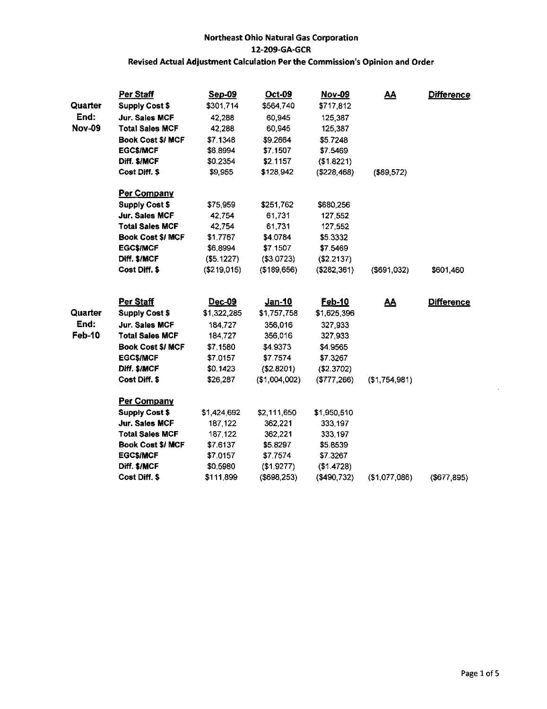|               | Per Staff                | Sep-09      | <b>Oct-09</b> | Nov-09      | <u>AA</u>      | <b>Difference</b> |
|---------------|--------------------------|-------------|---------------|-------------|----------------|-------------------|
| Quarter       | <b>Supply Cost \$</b>    | \$301,714   | \$564,740     | \$717,812   |                |                   |
| End:          | Jur. Sales MCF           | 42,288      | 60,945        | 125,387     |                |                   |
| <b>Nov-09</b> | <b>Total Sales MCF</b>   | 42,288      | 60,945        | 125,387     |                |                   |
|               | <b>Book Cost \$/ MCF</b> | \$7.1348    | \$9.2664      | \$5.7248    |                |                   |
|               | <b>EGC\$/MCF</b>         | \$6.8994    | \$7,1507      | \$7.5469    |                |                   |
|               | Diff. \$/MCF             | \$0.2354    | \$2.1157      | (\$1.8221)  |                |                   |
|               | Cost Diff. \$            | \$9,955     | \$128,942     | (\$228,468) | (\$89,572)     |                   |
|               | <b>Per Company</b>       |             |               |             |                |                   |
|               | <b>Supply Cost \$</b>    | \$75,959    | \$251,762     | \$680,256   |                |                   |
|               | Jur. Sales MCF           | 42,754      | 61,731        | 127,552     |                |                   |
|               | <b>Total Sales MCF</b>   | 42,754      | 61,731        | 127,552     |                |                   |
|               | <b>Book Cost \$/ MCF</b> | \$1.7767    | \$4.0784      | \$5.3332    |                |                   |
|               | <b>EGC\$/MCF</b>         | \$6,8994    | \$7,1507      | \$7.5469    |                |                   |
|               | Diff. \$/MCF             | (\$5.1227)  | ( \$3.0723)   | (\$2.2137)  |                |                   |
|               | Cost Diff. \$            | (\$219,015) | (\$189,656)   | (\$282,361) | $($ \$691,032) | \$601,460         |
|               | Per Staff                | Dec-09      | Jan-10        | Feb-10      |                | <b>Difference</b> |
|               |                          |             |               |             | <u>AA</u>      |                   |
| Quarter       | <b>Supply Cost \$</b>    | \$1,322,285 | \$1,757,758   | \$1,625,396 |                |                   |
| End:          | Jur. Sales MCF           | 184,727     | 356,016       | 327,933     |                |                   |
| Feb-10        | <b>Total Sales MCF</b>   | 184,727     | 356,016       | 327,933     |                |                   |
|               | <b>Book Cost \$/ MCF</b> | \$7.1580    | \$4.9373      | \$4.9565    |                |                   |
|               | <b>EGC\$/MCF</b>         | \$7.0157    | \$7.7574      | \$7.3267    |                |                   |
|               | Diff. \$/MCF             | \$0.1423    | (\$2.8201)    | (\$2.3702)  |                |                   |
|               | Cost Diff. \$            | \$26,287    | (\$1,004,002) | (\$777,266) | (\$1,754,981)  |                   |
|               | Per Company              |             |               |             |                |                   |
|               | <b>Supply Cost \$</b>    | \$1,424,692 | \$2,111,650   | \$1 950,510 |                |                   |
|               | Jur. Sales MCF           | 187,122     | 362,221       | 333,197     |                |                   |
|               | <b>Total Sales MCF</b>   | 187,122     | 362,221       | 333,197     |                |                   |
|               | <b>Book Cost \$/ MCF</b> | \$7.6137    | \$5.8297      | \$5.8539    |                |                   |
|               | <b>EGC\$/MCF</b>         | \$7.0157    | \$7.7574      | \$7.3267    |                |                   |
|               | Diff. \$/MCF             | \$0.5980    | (\$1.9277)    | (\$1.4728)  |                |                   |
|               | Cost Diff. \$            | \$111899    | (\$698,253)   | (\$490,732) | (\$1,077,086)  | (\$677, 895)      |

ä,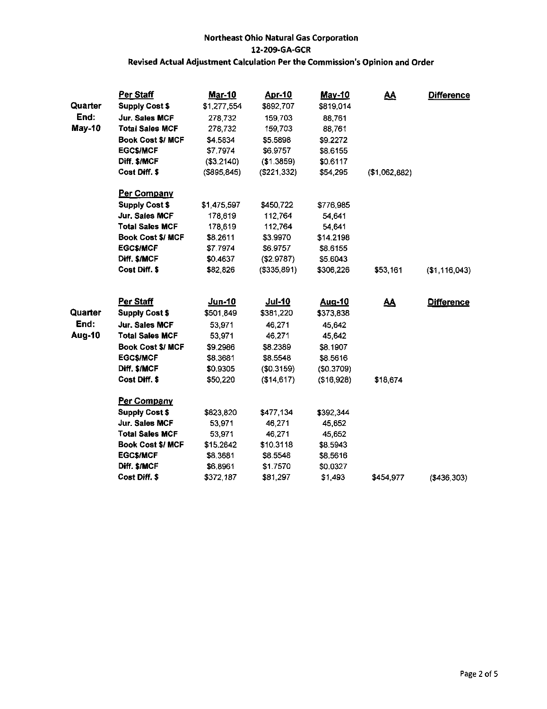|               | Per Staff                | <b>Mar-10</b>  | <u>Apr-10</u> | <b>May-10</b> | <u>AA</u>     | <b>Difference</b> |
|---------------|--------------------------|----------------|---------------|---------------|---------------|-------------------|
| Quarter       | <b>Supply Cost \$</b>    | \$1,277,554    | \$892,707     | \$819,014     |               |                   |
| End:          | Jur. Sales MCF           | 278 732        | 159,703       | 88,761        |               |                   |
| May-10        | <b>Total Sales MCF</b>   | 278,732        | 159,703       | 88,761        |               |                   |
|               | <b>Book Cost \$/ MCF</b> | \$4.5834       | \$5.5898      | \$9.2272      |               |                   |
|               | <b>EGC\$/MCF</b>         | \$7.7974       | \$6.9757      | \$8.6155      |               |                   |
|               | Diff. \$/MCF             | (\$3.2140)     | (1.3859)      | \$0.6117      |               |                   |
|               | Cost Diff. \$            | $($ \$895,845) | (\$221,332)   | \$54,295      | (\$1,062,882) |                   |
|               | Per Company              |                |               |               |               |                   |
|               | <b>Supply Cost \$</b>    | \$1,475,597    | \$450,722     | \$776,985     |               |                   |
|               | Jur. Sales MCF           | 178,619        | 112,764       | 54,641        |               |                   |
|               | <b>Total Sales MCF</b>   | 178,619        | 112,764       | 54,641        |               |                   |
|               | <b>Book Cost \$/ MCF</b> | \$8,2611       | \$3.9970      | \$14.2198     |               |                   |
|               | <b>EGC\$/MCF</b>         | \$7.7974       | \$6.9757      | \$8.6155      |               |                   |
|               | Diff. \$/MCF             | \$0.4637       | (S2.9787)     | \$5.6043      |               |                   |
|               | Cost Diff. \$            | \$82,826       | (\$335,891)   | \$306,226     | \$53,161      | (\$1, 116, 043)   |
|               | Per Staff                | <u>Jun-10</u>  | <u>Jul-10</u> | Aug-10        | <u>AA</u>     | <b>Difference</b> |
| Quarter       | <b>Supply Cost \$</b>    | \$501,849      | \$381,220     | \$373,838     |               |                   |
| End:          | Jur. Sales MCF           | 53,971         | 46,271        | 45,642        |               |                   |
| <b>Aug-10</b> | <b>Total Sales MCF</b>   | 53,971         | 46,271        | 45 642        |               |                   |
|               | <b>Book Cost \$/ MCF</b> | \$9.2986       | \$8.2389      | \$8.1907      |               |                   |
|               | <b>EGCS/MCF</b>          | \$8.3681       | \$8.5548      | \$8.5616      |               |                   |
|               | Diff. \$/MCF             | \$0.9305       | (\$0.3159)    | (\$0.3709)    |               |                   |
|               | Cost Diff. \$            | \$50,220       | (\$14,617)    | (\$16,928)    | \$18,674      |                   |
|               | Per Company              |                |               |               |               |                   |
|               | <b>Supply Cost \$</b>    | \$823,820      | \$477,134     | \$392,344     |               |                   |
|               | Jur. Sales MCF           | 53,971         | 46,271        | 45.652        |               |                   |
|               | <b>Total Sales MCF</b>   | 53,971         | 46,271        | 45,652        |               |                   |
|               | <b>Book Cost \$/ MCF</b> | \$15.2642      | \$10.3118     | \$8.5943      |               |                   |
|               | <b>EGC\$/MCF</b>         | \$8.3681       | \$8.5548      | \$8.5616      |               |                   |
|               | Diff. \$/MCF             | \$6,8961       | \$1.7570      | \$0.0327      |               |                   |
|               | Cost Diff. \$            | \$372,187      | \$81,297      | \$1,493       | \$454,977     | ( \$436, 303)     |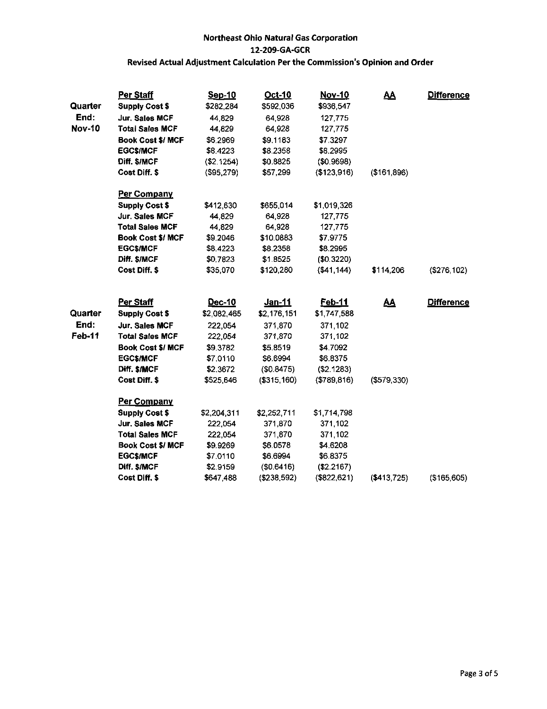|               | Per Staff                | Sep-10      | Oct-10        | Nov-10       | <u>AA</u>     | <b>Difference</b> |
|---------------|--------------------------|-------------|---------------|--------------|---------------|-------------------|
| Quarter       | <b>Supply Cost \$</b>    | \$282,284   | \$592,036     | \$936,547    |               |                   |
| End:          | Jur. Sales MCF           | 44,829      | 64,928        | 127,775      |               |                   |
| <b>Nov-10</b> | <b>Total Sales MCF</b>   | 44,829      | 64,928        | 127,775      |               |                   |
|               | <b>Book Cost \$/ MCF</b> | \$6.2969    | \$9.1183      | \$7.3297     |               |                   |
|               | <b>EGCS/MCF</b>          | \$8.4223    | \$8.2358      | \$8,2995     |               |                   |
|               | Diff. \$/MCF             | (\$2.1254)  | \$0.8825      | ( \$0.9698)  |               |                   |
|               | Cost Diff. \$            | (\$95,279)  | \$57,299      | (\$123,916)  | (\$161,896)   |                   |
|               | Per Company              |             |               |              |               |                   |
|               | <b>Supply Cost \$</b>    | \$412,630   | \$655,014     | \$1 019,326  |               |                   |
|               | Jur. Sales MCF           | 44,829      | 64,928        | 127,775      |               |                   |
|               | <b>Total Sales MCF</b>   | 44,829      | 64,928        | 127,775      |               |                   |
|               | <b>Book Cost \$/ MCF</b> | \$9.2046    | \$10.0883     | \$7.9775     |               |                   |
|               | <b>EGC\$/MCF</b>         | \$8.4223    | \$8.2358      | \$8.2995     |               |                   |
|               | Diff. \$/MCF             | \$0.7823    | \$1.8525      | ( \$0.3220)  |               |                   |
|               | Cost Diff. \$            | \$35,070    | \$120,280     | ( \$41, 144) | \$114,206     | (\$276,102)       |
|               | Per Staff                | Dec-10      | <u>Jan-11</u> | Feb-11       | <u>AA</u>     | <b>Difference</b> |
| Quarter       | <b>Supply Cost \$</b>    | \$2,082,465 | \$2,176,151   | \$1,747,588  |               |                   |
| End:          | Jur. Sales MCF           | 222,054     | 371,870       | 371,102      |               |                   |
| Feb-11        | <b>Total Sales MCF</b>   | 222,054     | 371,870       | 371,102      |               |                   |
|               | <b>Book Cost \$/ MCF</b> | \$9.3782    | \$5.8519      | \$4.7092     |               |                   |
|               | <b>EGC\$/MCF</b>         | \$7.0110    | \$6.6994      | \$6.8375     |               |                   |
|               | Diff. \$/MCF             | \$2.3672    | (\$0.8475)    | (\$2.1283)   |               |                   |
|               | Cost Diff. \$            | \$525,646   | (\$315,160)   | (\$789, 816) | ( \$579, 330) |                   |
|               | <b>Per Company</b>       |             |               |              |               |                   |
|               | <b>Supply Cost \$</b>    | \$2,204,311 | \$2,252,711   | \$1,714,798  |               |                   |
|               | Jur. Sales MCF           | 222,054     | 371,870       | 371,102      |               |                   |
|               | <b>Total Sales MCF</b>   | 222,054     | 371,870       | 371,102      |               |                   |
|               | <b>Book Cost \$/ MCF</b> | \$9.9269    | \$6.0578      | \$4.6208     |               |                   |
|               | <b>EGC\$/MCF</b>         | \$7.0110    | \$6.6994      | \$6.8375     |               |                   |
|               | Diff. \$/MCF             | \$2.9159    | (\$0.6416)    | (\$2.2167)   |               |                   |
|               | Cost Diff. \$            | \$647,488   | (\$238,592)   | (\$822, 621) | (\$413,725)   | (\$165,605)       |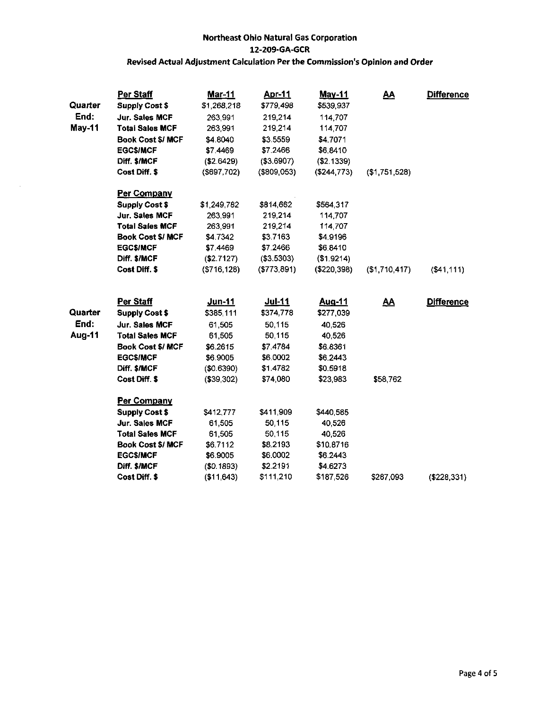| Quarter | Per Staff<br><b>Supply Cost \$</b> | <u>Mar-11</u><br>\$1,268,218 | <u>Apr-11</u><br>\$779,498 | <b>May-11</b><br>\$539,937 | $\underline{\mathbf{A}}$ | <b>Difference</b> |
|---------|------------------------------------|------------------------------|----------------------------|----------------------------|--------------------------|-------------------|
| End:    | Jur. Sales MCF                     | 263 991                      | 219,214                    | 114,707                    |                          |                   |
| May-11  | <b>Total Sales MCF</b>             | 263,991                      | 219,214                    | 114,707                    |                          |                   |
|         | <b>Book Cost \$/ MCF</b>           | \$4.8040                     | \$3.5559                   | \$4.7071                   |                          |                   |
|         | <b>EGC\$/MCF</b>                   | \$7.4469                     | \$7.2466                   | \$6,8410                   |                          |                   |
|         | Diff. \$/MCF                       | (\$2.6429)                   | (\$3.6907)                 | (\$2.1339)                 |                          |                   |
|         | <b>Cost Diff. \$</b>               | (\$697,702)                  | ( \$809,053)               | ( \$244, 773)              | (\$1,751,528)            |                   |
|         | Per Company                        |                              |                            |                            |                          |                   |
|         | <b>Supply Cost \$</b>              | \$1,249,782                  | \$814,662                  | \$564.317                  |                          |                   |
|         | Jur. Sales MCF                     | 263,991                      | 219,214                    | 114,707                    |                          |                   |
|         | <b>Total Sales MCF</b>             | 263,991                      | 219,214                    | 114,707                    |                          |                   |
|         | <b>Book Cost \$/ MCF</b>           | \$4.7342                     | \$3.7163                   | \$4.9196                   |                          |                   |
|         | <b>EGC\$/MCF</b>                   | \$7.4469                     | \$7.2466                   | \$6,8410                   |                          |                   |
|         | Diff. \$/MCF                       | (\$2.7127)                   | (\$3.5303)                 | (\$1.9214)                 |                          |                   |
|         | Cost Diff. \$                      | (S716, 128)                  | (\$773,891)                | ( \$220, 398)              | (\$1,710,417)            | ( \$41, 111)      |
|         | Per Staff                          | Jun-11                       | <u>Jul-11</u>              | <u>Aug-11</u>              | $\underline{\mathbf{A}}$ | <b>Difference</b> |
| Quarter | <b>Supply Cost \$</b>              | \$385,111                    | \$374,778                  | \$277,039                  |                          |                   |
| End:    | Jur. Sales MCF                     | 61,505                       | 50,115                     | 40,526                     |                          |                   |
| Aug-11  | <b>Total Sales MCF</b>             | 61,505                       | 50,115                     | 40,526                     |                          |                   |
|         | Book Cost \$/ MCF                  | \$6.2615                     | \$7.4784                   | \$6.8361                   |                          |                   |
|         | <b>EGC\$/MCF</b>                   | \$6.9005                     | \$6.0002                   | \$6.2443                   |                          |                   |
|         | Diff. \$/MCF                       | (\$0.6390)                   | \$1.4782                   | \$0.5918                   |                          |                   |
|         | Cost Diff. \$                      | (\$39,302)                   | \$74,080                   | \$23,983                   | \$58,762                 |                   |
|         | Per Company                        |                              |                            |                            |                          |                   |
|         | <b>Supply Cost \$</b>              | \$412,777                    | \$411,909                  | \$440.585                  |                          |                   |
|         | Jur. Sales MCF                     | 61,505                       | 50,115                     | 40,526                     |                          |                   |
|         | <b>Total Sales MCF</b>             | 61,505                       | 50,115                     | 40.526                     |                          |                   |
|         | <b>Book Cost \$/ MCF</b>           | \$6.7112                     | \$8.2193                   | \$10.8716                  |                          |                   |
|         | <b>EGC\$/MCF</b>                   | \$6.9005                     | \$6.0002                   | \$6.2443                   |                          |                   |
|         | Diff. \$/MCF                       | (\$0.1893)                   | \$2.2191                   | \$4,6273                   |                          |                   |
|         | Cost Diff. \$                      | (\$11,643)                   | \$111,210                  | \$187,526                  | \$287,093                | (\$228,331)       |

 $\sim$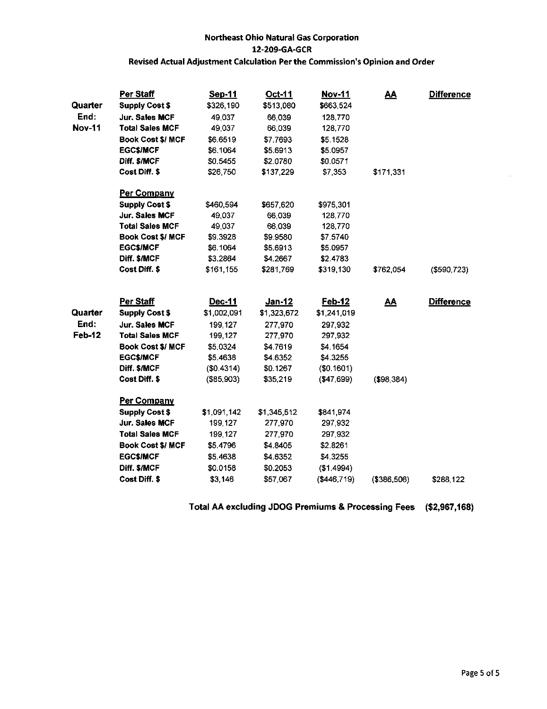|               | Per Staff                | Sep-11      | Oct-11        | Nov-11        | <u>AA</u>  | <b>Difference</b> |
|---------------|--------------------------|-------------|---------------|---------------|------------|-------------------|
| Quarter       | <b>Supply Cost \$</b>    | \$326,190   | \$513,080     | \$663,524     |            |                   |
| End:          | Jur. Sales MCF           | 49,037      | 66,039        | 128,770       |            |                   |
| <b>Nov-11</b> | <b>Total Sales MCF</b>   | 49,037      | 66,039        | 128,770       |            |                   |
|               | <b>Book Cost \$/ MCF</b> | \$6.6519    | \$7.7693      | \$5.1528      |            |                   |
|               | <b>EGC\$/MCF</b>         | \$6.1064    | \$5.6913      | \$5.0957      |            |                   |
|               | Diff. \$/MCF             | \$0.5455    | \$2 0780      | \$0.0571      |            |                   |
|               | Cost Diff. \$            | \$26,750    | \$137,229     | \$7,353       | \$171,331  |                   |
|               | Per Company              |             |               |               |            |                   |
|               | <b>Supply Cost \$</b>    | \$460,594   | \$657,620     | \$975,301     |            |                   |
|               | Jur. Sales MCF           | 49,037      | 66,039        | 128,770       |            |                   |
|               | <b>Total Sales MCF</b>   | 49,037      | 66,039        | 128,770       |            |                   |
|               | <b>Book Cost \$/ MCF</b> | \$9.3928    | \$9.9580      | \$7.5740      |            |                   |
|               | <b>EGC\$/MCF</b>         | \$6.1064    | \$5.6913      | \$5.0957      |            |                   |
|               | Diff. \$/MCF             | \$3.2864    | \$4.2667      | \$2.4783      |            |                   |
|               | Cost Diff. \$            | \$161,155   | \$281,769     | \$319,130     | \$762,054  | $($ \$590,723)    |
|               | Per Staff                | Dec-11      | <u>Jan-12</u> | <u>Feb-12</u> | <u>AA</u>  | <b>Difference</b> |
| Quarter       | <b>Supply Cost \$</b>    | \$1,002,091 | \$1,323,672   | \$1,241,019   |            |                   |
| End:          | Jur. Sales MCF           | 199 127     | 277,970       | 297,932       |            |                   |
| Feb-12        | <b>Total Sales MCF</b>   | 199.127     | 277,970       | 297,932       |            |                   |
|               | <b>Book Cost \$/ MCF</b> | \$5.0324    | \$4.7619      | \$4.1654      |            |                   |
|               | <b>EGC\$/MCF</b>         | \$5.4638    | \$4.6352      | \$4.3255      |            |                   |
|               | Diff. \$/MCF             | (\$0.4314)  | \$0.1267      | (\$0.1601)    |            |                   |
|               | Cost Diff. \$            | (\$85,903)  | \$35,219      | ( \$47,699)   | (\$98,384) |                   |
|               | <b>Per Company</b>       |             |               |               |            |                   |
|               | <b>Supply Cost \$</b>    | \$1,091,142 | \$1,345,512   | \$841,974     |            |                   |
|               | <b>Jur. Sales MCF</b>    | 199,127     | 277,970       | 297,932       |            |                   |
|               | <b>Total Sales MCF</b>   | 199,127     | 277,970       | 297,932       |            |                   |
|               | <b>Book Cost \$/ MCF</b> | \$5.4796    | \$4,8405      | \$2.8261      |            |                   |
|               |                          |             |               | \$4.3255      |            |                   |
|               | <b>EGC\$/MCF</b>         | \$5.4638    | \$4.6352      |               |            |                   |
|               | Diff. \$/MCF             | \$0.0158    | \$0.2053      | (\$1.4994)    |            |                   |

Total AA excluding JDOG Premiums & Processing Fees (\$2,967,168)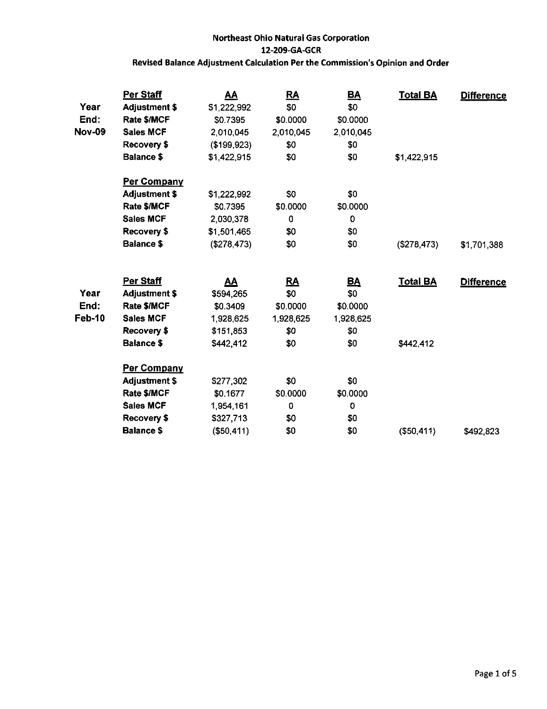| Year          | Per Staff<br><b>Adjustment \$</b> | <u>AA</u>   | <u>RA</u><br>\$0 | $\underline{\mathsf{BA}}$<br>\$0 | <b>Total BA</b> | <b>Difference</b> |
|---------------|-----------------------------------|-------------|------------------|----------------------------------|-----------------|-------------------|
| End:          | Rate \$/MCF                       | \$1,222,992 |                  | \$0.0000                         |                 |                   |
| <b>Nov-09</b> |                                   | \$0.7395    | \$0.0000         |                                  |                 |                   |
|               | <b>Sales MCF</b>                  | 2,010,045   | 2,010,045        | 2,010,045                        |                 |                   |
|               | Recovery \$                       | (\$199,923) | \$0              | \$0                              |                 |                   |
|               | <b>Balance \$</b>                 | \$1,422,915 | \$0              | \$0                              | \$1,422,915     |                   |
|               | <b>Per Company</b>                |             |                  |                                  |                 |                   |
|               | <b>Adjustment \$</b>              | \$1,222,992 | \$0              | \$0                              |                 |                   |
|               | Rate \$/MCF                       | \$0.7395    | \$0.0000         | \$0.0000                         |                 |                   |
|               | <b>Sales MCF</b>                  | 2,030,378   | 0                | 0                                |                 |                   |
|               | Recovery \$                       | \$1,501,465 | \$0              | \$0                              |                 |                   |
|               | <b>Balance \$</b>                 | (\$278,473) | \$0              | \$0                              | (\$278,473)     | \$1,701,388       |
|               | Per Staff                         |             |                  |                                  |                 |                   |
| Year          |                                   | <u>AA</u>   | <u>RA</u><br>\$0 | <u>BA</u><br>\$0                 | <b>Total BA</b> | <b>Difference</b> |
|               | <b>Adjustment \$</b>              | \$594,265   |                  |                                  |                 |                   |
| End:          | Rate \$/MCF                       | \$0.3409    | \$0.0000         | \$0.0000                         |                 |                   |
| Feb-10        | <b>Sales MCF</b>                  | 1,928,625   | 1.928,625        | 1,928,625                        |                 |                   |
|               | Recovery \$                       | \$151,853   | \$0              | \$0                              |                 |                   |
|               | <b>Balance \$</b>                 | \$442,412   | \$0              | \$0                              | \$442,412       |                   |
|               | Per Company                       |             |                  |                                  |                 |                   |
|               | Adjustment \$                     | \$277,302   | \$0              | \$0                              |                 |                   |
|               | Rate \$/MCF                       | \$0.1677    | \$0.0000         | \$0.0000                         |                 |                   |
|               | <b>Sales MCF</b>                  | 1,954,161   | 0                | 0                                |                 |                   |
|               | Recovery \$                       | \$327,713   | \$0              | \$0                              |                 |                   |
|               | <b>Balance \$</b>                 | ( \$50,411) | \$0              | \$0                              | ( \$50.411)     | \$492,823         |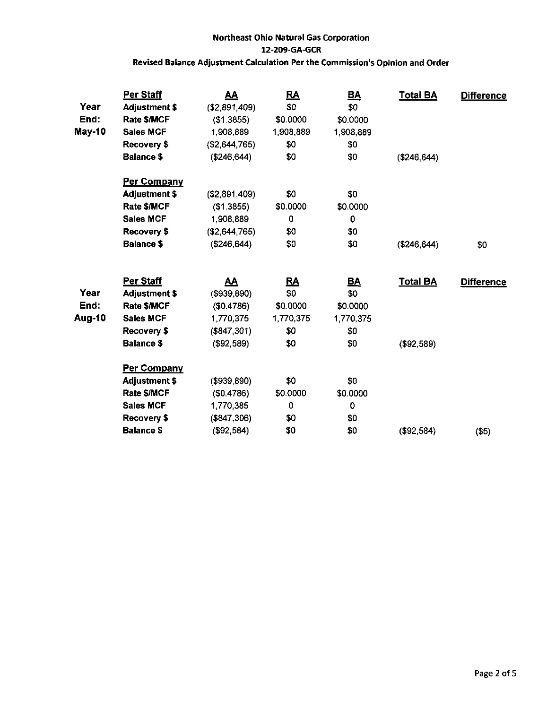| Year<br>End: | Per Staff<br><b>Adjustment \$</b><br>Rate \$/MCF | <u>AA</u><br>( \$2,891,409)<br>(\$1.3855) | <u>RA</u><br>\$0<br>\$0.0000 | <u>BA</u><br>\$0<br>\$0.0000 | <b>Total BA</b> | <b>Difference</b> |
|--------------|--------------------------------------------------|-------------------------------------------|------------------------------|------------------------------|-----------------|-------------------|
| May-10       | <b>Sales MCF</b>                                 | 1,908,889                                 | 1 908 889                    | 1,908,889                    |                 |                   |
|              | Recovery \$                                      | (\$2,644,765)                             | \$0                          | \$0                          |                 |                   |
|              | <b>Balance \$</b>                                | ( \$246, 644)                             | \$0                          | \$0                          | (\$246,644)     |                   |
|              | <b>Per Company</b>                               |                                           |                              |                              |                 |                   |
|              | <b>Adjustment \$</b>                             | (S2, 891, 409)                            | \$0                          | \$0                          |                 |                   |
|              | Rate \$/MCF                                      | (\$1.3855)                                | \$0.0000                     | \$0.0000                     |                 |                   |
|              | <b>Sales MCF</b>                                 | 1,908,889                                 | 0                            | $\mathbf 0$                  |                 |                   |
|              | Recovery \$                                      | (\$2,644,765)                             | \$0                          | \$0                          |                 |                   |
|              | <b>Balance \$</b>                                | (\$246, 644)                              | \$0                          | \$0                          | (\$246, 644)    | \$0               |
|              | Per Staff                                        | <u>AA</u>                                 | <u>RA</u>                    |                              | <b>Total BA</b> |                   |
| Year         | <b>Adjustment \$</b>                             | ( \$939, 890)                             | \$0                          | <u>BA</u><br>\$0             |                 | <b>Difference</b> |
| End:         | Rate \$/MCF                                      | (\$0.4786)                                | \$0.0000                     | \$0.0000                     |                 |                   |
| Aug-10       | <b>Sales MCF</b>                                 | 1,770,375                                 | 1770,375                     | 1,770,375                    |                 |                   |
|              | Recovery \$                                      | ( \$847, 301)                             | \$0                          | \$0                          |                 |                   |
|              | <b>Balance \$</b>                                | ( \$92, 589)                              | \$0                          | \$0                          | ( \$92, 589)    |                   |
|              | <b>Per Company</b>                               |                                           |                              |                              |                 |                   |
|              | <b>Adjustment \$</b>                             | (\$939,890)                               | \$0                          | \$0                          |                 |                   |
|              | Rate \$/MCF                                      | (\$0.4786)                                | \$0.0000                     | \$0.0000                     |                 |                   |
|              | <b>Sales MCF</b>                                 | 1,770,385                                 | $\mathbf 0$                  | 0                            |                 |                   |
|              | Recovery \$                                      | (\$847,306)                               | \$0                          | \$0                          |                 |                   |
|              | <b>Balance \$</b>                                | (\$92,584)                                | \$0                          | \$0                          | (\$92,584)      | $($ \$5)          |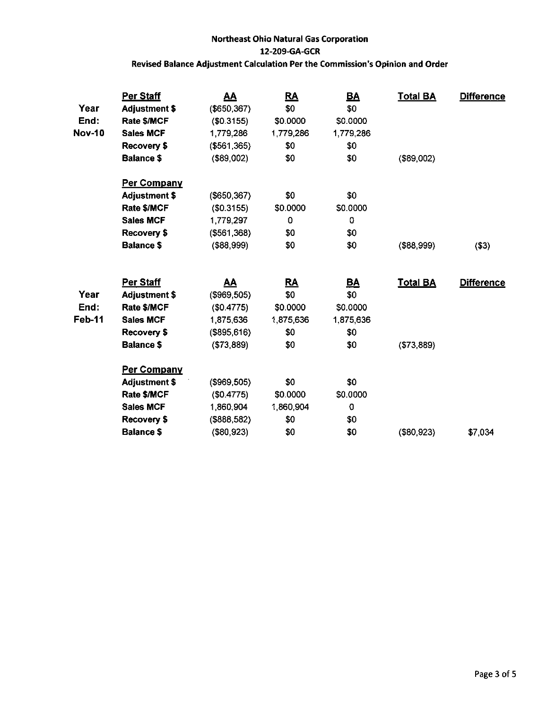| Year          | <b>Per Staff</b><br><b>Adjustment \$</b> | <u>AA</u><br>(\$650, 367) | <u>RA</u><br>\$0 | <u>BA</u><br>\$0 | <b>Total BA</b> | <b>Difference</b> |
|---------------|------------------------------------------|---------------------------|------------------|------------------|-----------------|-------------------|
| End:          | Rate \$/MCF                              | (\$0.3155)                | \$0.0000         | \$0.0000         |                 |                   |
| <b>Nov-10</b> | <b>Sales MCF</b>                         | 1,779,286                 | 1 779 286        | 1,779,286        |                 |                   |
|               | Recovery \$                              | (\$561,365)               | \$0              | \$0              |                 |                   |
|               | <b>Balance \$</b>                        | $($ \$89,002)             | \$0              | \$0              | (\$89,002)      |                   |
|               | <b>Per Company</b>                       |                           |                  |                  |                 |                   |
|               | <b>Adjustment \$</b>                     | $($ \$650,367 $)$         | \$0              | \$0              |                 |                   |
|               | Rate \$/MCF                              | (\$0.3155)                | \$0.0000         | \$0.0000         |                 |                   |
|               | <b>Sales MCF</b>                         | 1,779,297                 | 0                | 0                |                 |                   |
|               | Recovery \$                              | ( \$561, 368)             | \$0              | \$0              |                 |                   |
|               | <b>Balance \$</b>                        | ( \$88, 999)              | \$0              | \$0              | ( \$88, 999)    | ( \$3)            |
|               |                                          |                           |                  |                  |                 |                   |
|               | Per Staff                                | <u>AA</u>                 | <u>RA</u>        | <u>BA</u>        | <b>Total BA</b> | <b>Difference</b> |
| Year          | <b>Adjustment \$</b>                     | (\$969,505)               | \$0              | \$0              |                 |                   |
| End:          | Rate \$/MCF                              | (\$0.4775)                | \$0.0000         | \$0.0000         |                 |                   |
|               |                                          |                           |                  |                  |                 |                   |
| <b>Feb-11</b> | <b>Sales MCF</b>                         | 1,875,636                 | 1,875 636        | 1,875,636        |                 |                   |
|               | Recovery \$                              | (\$895, 616)              | \$0              | \$0              |                 |                   |
|               | <b>Balance \$</b>                        | (\$73,889)                | \$0              | \$0              | ( \$73, 889)    |                   |
|               | <b>Per Company</b>                       |                           |                  |                  |                 |                   |
|               | <b>Adjustment \$</b>                     | (\$969,505)               | \$0              | \$0              |                 |                   |
|               | Rate \$/MCF                              | (\$0.4775)                | \$0.0000         | \$0.0000         |                 |                   |
|               | <b>Sales MCF</b>                         | 1,860,904                 | 1,860,904        | $\mathbf 0$      |                 |                   |
|               | Recovery \$                              | (\$888,582)               | \$0              | \$0              |                 |                   |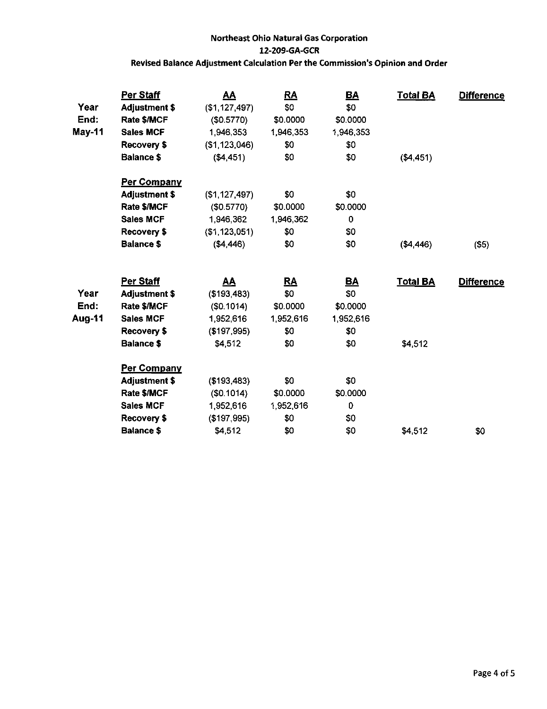| Year   | Per Staff<br><b>Adjustment \$</b> | <u>AA</u><br>(\$1,127,497) | <u>RA</u><br>\$0 | <u>BA</u><br>\$0 | <b>Total BA</b> | <b>Difference</b> |
|--------|-----------------------------------|----------------------------|------------------|------------------|-----------------|-------------------|
| End:   | Rate \$/MCF                       | (\$0.5770)                 | \$0.0000         | \$0.0000         |                 |                   |
| May-11 | <b>Sales MCF</b>                  | 1,946,353                  | 1,946,353        | 1,946,353        |                 |                   |
|        | <b>Recovery \$</b>                | (\$1,123,046)              | \$0              | \$0              |                 |                   |
|        | <b>Balance \$</b>                 | ( \$4,451)                 | \$0              | \$0              | ( \$4,451)      |                   |
|        | <b>Per Company</b>                |                            |                  |                  |                 |                   |
|        | <b>Adjustment \$</b>              | (\$1, 127, 497)            | \$0              | \$0              |                 |                   |
|        | Rate \$/MCF                       | (\$0.5770)                 | \$0.0000         | \$0.0000         |                 |                   |
|        | <b>Sales MCF</b>                  | 1,946,362                  | 1,946,362        | 0                |                 |                   |
|        | Recovery \$                       | (\$1,123,051)              | \$0              | \$0              |                 |                   |
|        | <b>Balance \$</b>                 | ( \$4,446)                 | \$0              | \$0              | ( \$4,446)      | $($ \$5)          |
|        | Per Staff                         | <u>AA</u>                  | <u>RA</u>        | <u>BA</u>        | <b>Total BA</b> | <b>Difference</b> |
| Year   | <b>Adjustment \$</b>              | (\$193,483)                | \$0              | \$0              |                 |                   |
| End:   | Rate \$/MCF                       | (S0.1014)                  | \$0.0000         | \$0.0000         |                 |                   |
| Aug-11 | <b>Sales MCF</b>                  | 1,952,616                  | 1,952,616        | 1,952,616        |                 |                   |
|        | Recovery \$                       | (\$197,995)                | \$0              | \$0              |                 |                   |
|        | <b>Balance \$</b>                 | \$4,512                    | \$0              | \$0              | \$4,512         |                   |
|        | Per Company                       |                            |                  |                  |                 |                   |
|        | <b>Adjustment \$</b>              | (\$193,483)                | \$0              | \$0              |                 |                   |
|        | Rate \$/MCF                       | (\$0.1014)                 | \$0.0000         | \$0.0000         |                 |                   |
|        | <b>Sales MCF</b>                  | 1,952,616                  | 1,952,616        | 0                |                 |                   |
|        | Recovery \$                       | (\$197,995)                | \$0              | \$0              |                 |                   |
|        | <b>Balance \$</b>                 | \$4,512                    | \$0              | \$0              | \$4,512         | \$0               |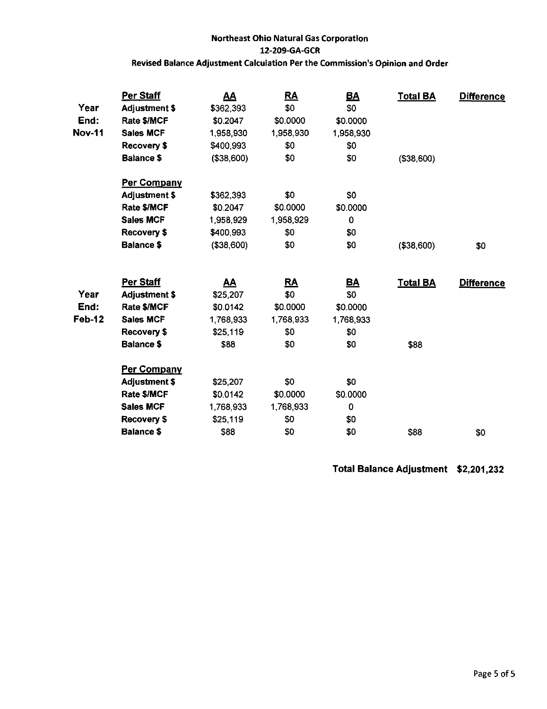| Year          | Per Staff<br><b>Adjustment \$</b> | <u>AA</u><br>\$362,393 | <u>RA</u><br>\$0 | <u>BA</u><br>\$0 | <b>Total BA</b> | Difference        |
|---------------|-----------------------------------|------------------------|------------------|------------------|-----------------|-------------------|
| End:          | Rate \$/MCF                       | \$0.2047               | \$0.0000         | \$0.0000         |                 |                   |
| <b>Nov-11</b> | <b>Sales MCF</b>                  | 1,958,930              | 1,958,930        | 1,958,930        |                 |                   |
|               | Recovery \$                       | \$400,993              | \$0              | \$0              |                 |                   |
|               | <b>Balance \$</b>                 | (\$38,600)             | \$0              | \$0              | (\$38,600)      |                   |
|               | Per Company                       |                        |                  |                  |                 |                   |
|               | <b>Adjustment \$</b>              | \$362,393              | \$0              | \$0              |                 |                   |
|               | Rate \$/MCF                       | \$0.2047               | \$0.0000         | \$0.0000         |                 |                   |
|               | <b>Sales MCF</b>                  | 1,958,929              | 1,958,929        | 0                |                 |                   |
|               | Recovery \$                       | \$400,993              | \$0              | \$0              |                 |                   |
|               | <b>Balance \$</b>                 | ( \$38,600)            | \$0              | \$0              | (\$38,600)      | \$0               |
|               | Per Staff                         | <u>AA</u>              | <u>RA</u>        | <u>BA</u>        | <u>Total BA</u> | <b>Difference</b> |
| Year          | <b>Adjustment \$</b>              | \$25,207               | \$0              | \$0              |                 |                   |
| End:          | Rate \$/MCF                       | \$0.0142               | \$0.0000         | \$0.0000         |                 |                   |
| Feb-12        | Sales MCF                         | 1,768,933              | 1,768,933        | 1,768,933        |                 |                   |
|               | Recovery \$                       | \$25,119               | \$0              | \$0              |                 |                   |
|               | <b>Balance \$</b>                 | \$88                   | \$0              | \$0              | \$88            |                   |
|               | <b>Per Company</b>                |                        |                  |                  |                 |                   |
|               | <b>Adjustment \$</b>              | \$25,207               | \$0              | \$0              |                 |                   |
|               | Rate \$/MCF                       | \$0.0142               | \$0.0000         | \$0.0000         |                 |                   |
|               | <b>Sales MCF</b>                  | 1,768,933              | 1,768,933        | 0                |                 |                   |
|               | <b>Recovery \$</b>                | \$25,119               | \$0              | \$0              |                 |                   |
|               |                                   |                        |                  |                  |                 |                   |

Total Balance Adjustment \$2,201,232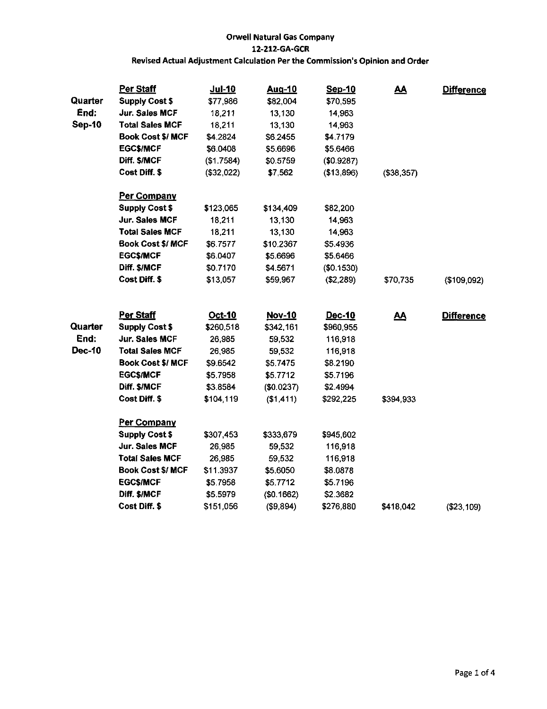| Quarter       | Per Staff                                | Jul-10           | <u>Aug-10</u>        | Sep-10               | <u>AA</u>   | <b>Difference</b> |
|---------------|------------------------------------------|------------------|----------------------|----------------------|-------------|-------------------|
| End:          | <b>Supply Cost \$</b>                    | \$77,986         | \$82,004             | \$70,595             |             |                   |
| <b>Sep-10</b> | Jur. Sales MCF<br><b>Total Sales MCF</b> | 18,211<br>18,211 | 13,130               | 14,963               |             |                   |
|               | <b>Book Cost \$/ MCF</b>                 | \$4.2824         | 13,130               | 14,963               |             |                   |
|               | <b>EGC\$/MCF</b>                         | \$6.0408         | \$6.2455<br>\$5.6696 | \$4.7179<br>\$5.6466 |             |                   |
|               |                                          |                  |                      |                      |             |                   |
|               | Diff. \$/MCF                             | (\$1.7584)       | \$0.5759             | (\$0.9287)           |             |                   |
|               | Cost Diff. \$                            | (\$32,022)       | \$7,562              | (\$13,896)           | ( \$38.357) |                   |
|               | Per Company                              |                  |                      |                      |             |                   |
|               | <b>Supply Cost \$</b>                    | \$123,065        | \$134,409            | \$82,200             |             |                   |
|               | Jur. Sales MCF                           | 18.211           | 13,130               | 14,963               |             |                   |
|               | <b>Total Sales MCF</b>                   | 18,211           | 13,130               | 14,963               |             |                   |
|               | Book Cost \$/ MCF                        | \$6.7577         | \$10.2367            | \$5.4936             |             |                   |
|               | <b>EGCS/MCF</b>                          | \$6.0407         | \$5.6696             | \$5.6466             |             |                   |
|               | Diff. \$/MCF                             | \$0.7170         | \$4.5671             | (\$0.1530)           |             |                   |
|               | Cost Diff. \$                            | \$13,057         | \$59,967             | (\$2,289)            | \$70,735    | (\$109,092)       |
|               | Per Staff                                | Oct-10           | Nov-10               | Dec-10               | <u>AA</u>   | <b>Difference</b> |
| Quarter       | <b>Supply Cost \$</b>                    | \$260,518        | \$342,161            | \$960,955            |             |                   |
| End:          | Jur. Sales MCF                           | 26,985           | 59,532               | 116,918              |             |                   |
| <b>Dec-10</b> | <b>Total Sales MCF</b>                   | 26,985           | 59,532               | 116,918              |             |                   |
|               | <b>Book Cost \$/ MCF</b>                 | \$9.6542         | \$5.7475             | \$8.2190             |             |                   |
|               | <b>EGC\$/MCF</b>                         | \$5.7958         | \$5.7712             | \$5.7196             |             |                   |
|               | Diff. \$/MCF                             | \$3.8584         | (\$0.0237)           | \$2.4994             |             |                   |
|               | Cost Diff. \$                            | \$104,119        | (\$1,411)            | \$292,225            | \$394.933   |                   |
|               | Per Company                              |                  |                      |                      |             |                   |
|               | <b>Supply Cost \$</b>                    | \$307,453        | \$333,679            | \$945,602            |             |                   |
|               | <b>Jur. Sales MCF</b>                    | 26,985           | 59,532               | 116,918              |             |                   |
|               | <b>Total Sales MCF</b>                   | 26,985           | 59,532               | 116,918              |             |                   |
|               | <b>Book Cost \$/ MCF</b>                 | \$11.3937        | \$5.6050             | \$8.0878             |             |                   |
|               | <b>EGC\$/MCF</b>                         | \$5.7958         | \$5.7712             | \$5.7196             |             |                   |
|               | Diff. \$/MCF                             | \$5.5979         | (\$0.1662)           | \$2.3682             |             |                   |
|               | Cost Diff. \$                            | \$151,056        | ( \$9,894)           | \$276,880            | \$418,042   | ( \$23, 109)      |
|               |                                          |                  |                      |                      |             |                   |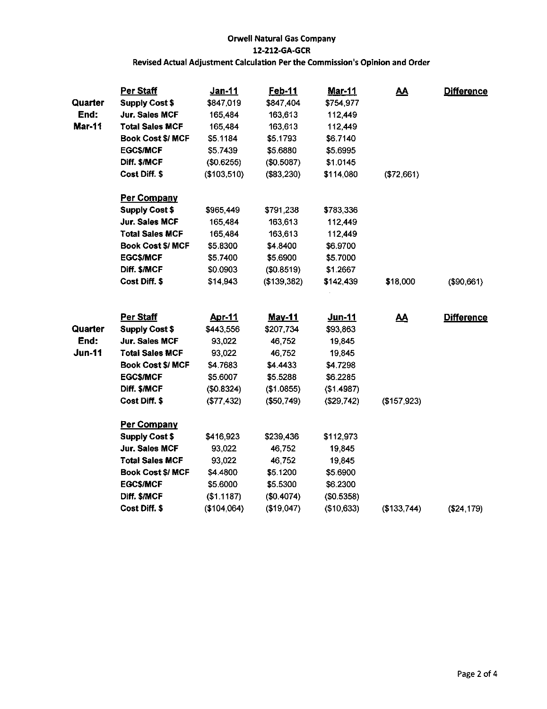|                 | Per Staff                               | Jan-11             | Feb-11             | <b>Mar-11</b>         | <u>AA</u>   | <b>Difference</b> |
|-----------------|-----------------------------------------|--------------------|--------------------|-----------------------|-------------|-------------------|
| Quarter<br>End: | <b>Supply Cost \$</b><br>Jur. Sales MCF | \$847,019          | \$847,404          | \$754,977             |             |                   |
| Mar-11          | Total Sales MCF                         | 165,484<br>165,484 | 163,613<br>163,613 | 112,449<br>112,449    |             |                   |
|                 | <b>Book Cost \$/ MCF</b>                | \$5.1184           | \$5.1793           | \$6.7140              |             |                   |
|                 | <b>EGCS/MCF</b>                         | \$5.7439           | \$5.6880           | \$5.6995              |             |                   |
|                 | Diff. \$/MCF                            | (\$0.6255)         | (\$0.5087)         |                       |             |                   |
|                 | Cost Diff. \$                           | (\$103,510)        | (\$83,230)         | \$1.0145<br>\$114,080 | (\$72,661)  |                   |
|                 |                                         |                    |                    |                       |             |                   |
|                 | <b>Per Company</b>                      |                    |                    |                       |             |                   |
|                 | <b>Supply Cost \$</b>                   | \$965,449          | \$791,238          | \$783,336             |             |                   |
|                 | Jur. Sales MCF                          | 165,484            | 163,613            | 112,449               |             |                   |
|                 | <b>Total Sales MCF</b>                  | 165,484            | 163,613            | 112,449               |             |                   |
|                 | <b>Book Cost \$/ MCF</b>                | \$5.8300           | \$4.8400           | \$6.9700              |             |                   |
|                 | <b>EGCS/MCF</b>                         | \$5.7400           | \$5,6900           | \$5.7000              |             |                   |
|                 | Diff. \$/MCF                            | \$0.0903           | (\$0.8519)         | \$1.2667              |             |                   |
|                 | Cost Diff. \$                           | \$14,943           | (\$139,382)        | \$142,439             | \$18,000    | (\$90,661)        |
|                 | Per Staff                               | <b>Apr-11</b>      | <b>May-11</b>      | Jun-11                | <u>AA</u>   | <b>Difference</b> |
| Quarter         | <b>Supply Cost \$</b>                   | \$443,556          | \$207,734          | \$93,863              |             |                   |
| End:            | Jur. Sales MCF                          | 93,022             | 46,752             | 19,845                |             |                   |
| <b>Jun-11</b>   | <b>Total Sales MCF</b>                  | 93,022             | 46,752             | 19,845                |             |                   |
|                 | <b>Book Cost \$/ MCF</b>                | \$4.7683           | \$4.4433           | \$4.7298              |             |                   |
|                 | <b>EGC\$/MCF</b>                        | \$5.6007           | \$5.5288           | \$6.2285              |             |                   |
|                 | Diff. \$/MCF                            | (\$0.8324)         | (\$1.0855)         | (\$1.4987)            |             |                   |
|                 | Cost Diff. \$                           | (\$77,432)         | (\$50,749)         | (\$29,742)            | (\$157,923) |                   |
|                 | <b>Per Company</b>                      |                    |                    |                       |             |                   |
|                 | <b>Supply Cost \$</b>                   | \$416,923          | \$239,436          | \$112,973             |             |                   |
|                 | Jur. Sales MCF                          | 93,022             | 46,752             | 19,845                |             |                   |
|                 | <b>Total Sales MCF</b>                  | 93,022             | 46,752             | 19,845                |             |                   |
|                 | <b>Book Cost \$/ MCF</b>                | \$4.4800           | \$5.1200           | \$5.6900              |             |                   |
|                 | <b>EGC\$/MCF</b>                        | \$5.6000           | \$5.5300           | \$6.2300              |             |                   |
|                 | Diff. \$/MCF                            | ( \$1.1187)        | ( \$0.4074)        | (\$0.5358)            |             |                   |
|                 | Cost Diff. \$                           | (\$104,064)        | (\$19,047)         | (\$10,633)            | (\$133,744) | (\$24,179)        |
|                 |                                         |                    |                    |                       |             |                   |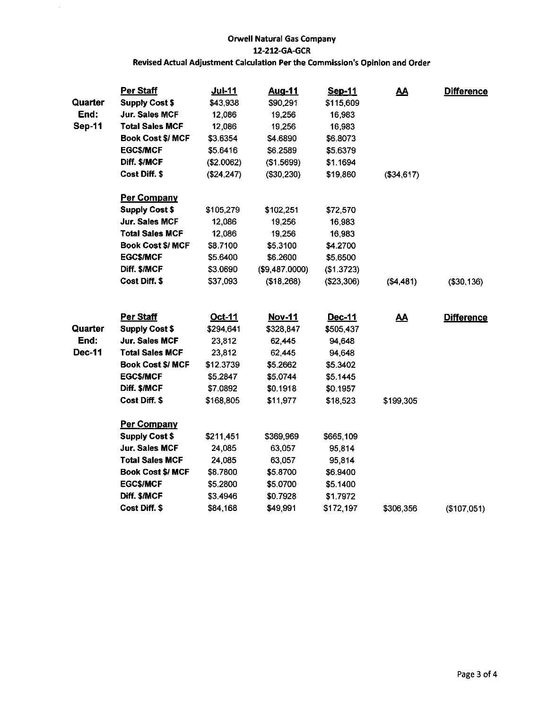$\ddot{\phantom{a}}$ 

| Quarter       | Per Staff<br><b>Supply Cost \$</b> | <u>Jul-11</u><br>\$43,938 | <b>Aug-11</b><br>\$90,291 | Sep-11<br>\$115,609 | <u>AA</u>  | <b>Difference</b> |
|---------------|------------------------------------|---------------------------|---------------------------|---------------------|------------|-------------------|
| End:          | <b>Jur. Sales MCF</b>              | 12,086                    | 19,256                    | 16,983              |            |                   |
| <b>Sep-11</b> | <b>Total Sales MCF</b>             | 12,086                    | 19,256                    | 16,983              |            |                   |
|               | <b>Book Cost \$/ MCF</b>           | \$3.6354                  | \$4.6890                  | \$6.8073            |            |                   |
|               | <b>EGC\$/MCF</b>                   | \$5.6416                  | \$6.2589                  | \$5.6379            |            |                   |
|               | Diff. \$/MCF                       | (\$2.0062)                | (\$1.5699)                | \$1.1694            |            |                   |
|               | Cost Diff. \$                      | (\$24, 247)               | (\$30,230)                | \$19,860            | (\$34,617) |                   |
|               | Per Company                        |                           |                           |                     |            |                   |
|               | <b>Supply Cost \$</b>              | \$105,279                 | \$102,251                 | \$72,570            |            |                   |
|               | Jur. Sales MCF                     | 12,086                    | 19,256                    | 16,983              |            |                   |
|               | <b>Total Sales MCF</b>             | 12,086                    | 19,256                    | 16,983              |            |                   |
|               | <b>Book Cost \$/ MCF</b>           | \$8.7100                  | \$5.3100                  | \$4.2700            |            |                   |
|               | <b>EGC\$/MCF</b>                   | \$5.6400                  | \$6.2600                  | \$5.6500            |            |                   |
|               | Diff. \$/MCF                       | \$3.0690                  | (\$9,487.0000)            | (\$1.3723)          |            |                   |
|               | Cost Diff. \$                      | \$37,093                  | (\$18,268)                | (\$23,306)          | ( \$4,481) | (\$30,136)        |
|               | Per Staff                          | Oct-11                    | Nov-11                    | Dec-11              | <u>AA</u>  | <b>Difference</b> |
| Quarter       | <b>Supply Cost \$</b>              | \$294,641                 | \$328,847                 | \$505,437           |            |                   |
| End:          | <b>Jur. Sales MCF</b>              | 23,812                    | 62,445                    | 94,648              |            |                   |
| <b>Dec-11</b> | <b>Total Sales MCF</b>             | 23,812                    | 62,445                    | 94,648              |            |                   |
|               | <b>Book Cost \$/ MCF</b>           | \$12.3739                 | \$5.2662                  | \$5.3402            |            |                   |
|               | <b>EGC\$/MCF</b>                   | \$5.2847                  | \$5.0744                  | \$5.1445            |            |                   |
|               | Diff. \$/MCF                       | \$7.0892                  | \$0.1918                  | \$0.1957            |            |                   |
|               | Cost Diff. \$                      | \$168,805                 | \$11,977                  | \$18,523            | \$199,305  |                   |
|               | <b>Per Company</b>                 |                           |                           |                     |            |                   |
|               | <b>Supply Cost \$</b>              | \$211,451                 | \$369,969                 | \$665,109           |            |                   |
|               | <b>Jur. Sales MCF</b>              | 24,085                    | 63,057                    | 95,814              |            |                   |
|               | Total Sales MCF                    | 24,085                    | 63,057                    | 95,814              |            |                   |
|               | <b>Book Cost \$/ MCF</b>           | \$8.7800                  | \$5.8700                  | \$6.9400            |            |                   |
|               | <b>EGC\$/MCF</b>                   | \$5.2800                  | \$5.0700                  | \$5.1400            |            |                   |
|               | Diff. \$/MCF                       | \$3.4946                  | \$0.7928                  | \$1.7972            |            |                   |
|               | Cost Diff. \$                      | \$84,168                  | \$49,991                  | \$172,197           | \$306,356  | (\$107,051)       |
|               |                                    |                           |                           |                     |            |                   |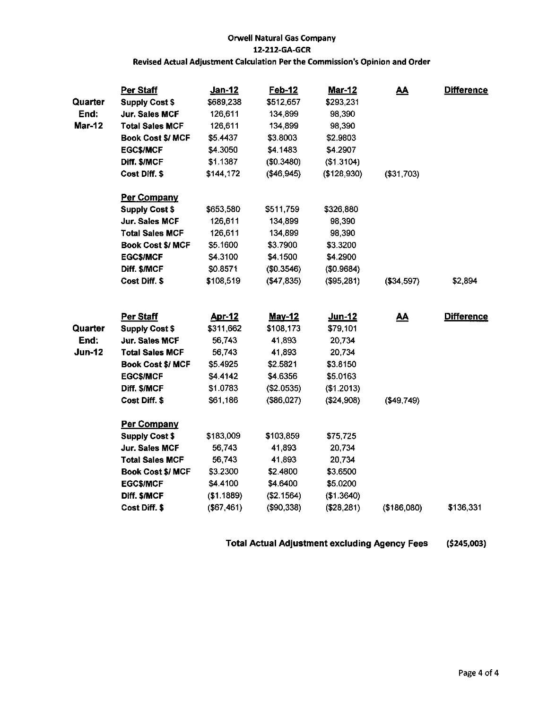| Quarter       | Per Staff<br><b>Supply Cost \$</b> | <u>Jan-12</u><br>\$689,238 | Feb-12<br>\$512,657 | <u>Mar-12</u><br>\$293,231 | <u>AA</u>    | <b>Difference</b> |
|---------------|------------------------------------|----------------------------|---------------------|----------------------------|--------------|-------------------|
| End:          | Jur. Sales MCF                     | 126,611                    | 134,899             | 98,390                     |              |                   |
| <b>Mar-12</b> | <b>Total Sales MCF</b>             | 126,611                    | 134,899             | 98,390                     |              |                   |
|               | <b>Book Cost \$/ MCF</b>           | \$5.4437                   | \$3.8003            | \$2.9803                   |              |                   |
|               | <b>EGC\$/MCF</b>                   | \$4.3050                   | \$4.1483            | \$4.2907                   |              |                   |
|               | Diff. \$/MCF                       | \$1.1387                   | ( \$0.3480)         | (\$1.3104)                 |              |                   |
|               | Cost Diff. \$                      | \$144,172                  | (\$46,945)          | ( \$128, 930)              | (\$31,703)   |                   |
|               | Per Company                        |                            |                     |                            |              |                   |
|               | <b>Supply Cost \$</b>              | \$653,580                  | \$511,759           | \$326,880                  |              |                   |
|               | <b>Jur. Sales MCF</b>              | 126,611                    | 134,899             | 98,390                     |              |                   |
|               | <b>Total Sales MCF</b>             | 126,611                    | 134,899             | 98,390                     |              |                   |
|               | <b>Book Cost \$/ MCF</b>           | \$5.1600                   | \$3.7900            | \$3.3200                   |              |                   |
|               | <b>EGC\$/MCF</b>                   | \$4.3100                   | \$4.1500            | \$4.2900                   |              |                   |
|               | Diff. \$/MCF                       | \$0.8571                   | (\$0.3546)          | (\$0.9684)                 |              |                   |
|               | Cost Diff. \$                      | \$108,519                  | (\$47,835)          | (\$95,281)                 | (\$34,597)   | \$2,894           |
|               | Per Staff                          | <u>Apr-12</u>              | <b>May-12</b>       | Jun-12                     | <u>AA</u>    | <b>Difference</b> |
| Quarter       | <b>Supply Cost \$</b>              | \$311,662                  | \$108,173           | \$79,101                   |              |                   |
| End:          | <b>Jur. Sales MCF</b>              | 56,743                     | 41,893              | 20,734                     |              |                   |
| <b>Jun-12</b> | <b>Total Sales MCF</b>             | 56,743                     | 41,893              | 20,734                     |              |                   |
|               | <b>Book Cost \$/ MCF</b>           | \$5.4925                   | \$2.5821            | \$3.8150                   |              |                   |
|               | <b>EGC\$/MCF</b>                   | \$4.4142                   | \$4.6356            | \$5.0163                   |              |                   |
|               | Diff. \$/MCF                       | \$1.0783                   | ( \$2.0535)         | (\$1.2013)                 |              |                   |
|               | Cost Diff. \$                      | \$61,186                   | $($ \$86,027)       | (\$24,908)                 | ( \$49, 749) |                   |
|               | Per Company                        |                            |                     |                            |              |                   |
|               | <b>Supply Cost \$</b>              | \$183,009                  | \$103,859           | \$75,725                   |              |                   |
|               | Jur. Sales MCF                     | 56,743                     | 41,893              | 20,734                     |              |                   |
|               | <b>Total Sales MCF</b>             | 56,743                     | 41,893              | 20,734                     |              |                   |
|               | <b>Book Cost \$/ MCF</b>           | \$3.2300                   | \$2.4800            | \$3.6500                   |              |                   |
|               | <b>EGC\$/MCF</b>                   | \$4.4100                   | \$4.6400            | \$5.0200                   |              |                   |
|               | Diff. \$/MCF                       | (\$1.1889)                 | (\$2.1564)          | (\$1.3640)                 |              |                   |
|               | Cost Diff. \$                      | ( \$67,461)                | (\$90,338)          | (\$28,281)                 | (\$186,080)  | \$136,331         |

Total Actual Adjustment excluding Agency Fees (\$245,003)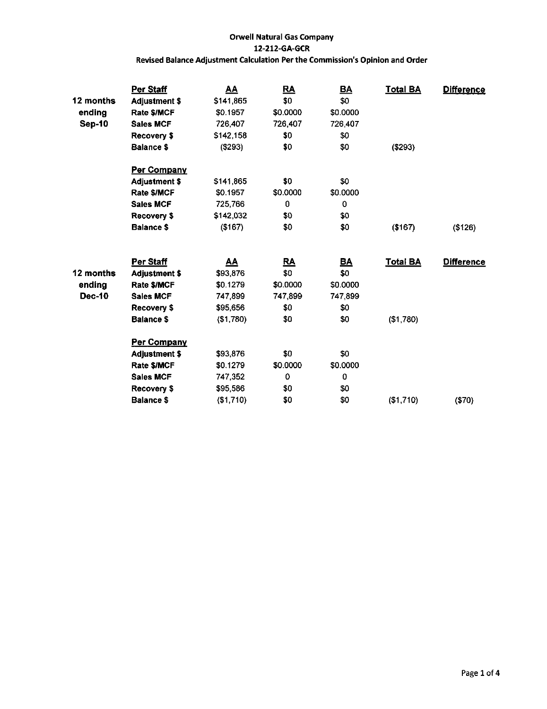|               | Per Staff            | <u>AA</u> | <u>RA</u> | $\underline{\mathsf{BA}}$ | <b>Total BA</b> | <b>Difference</b> |
|---------------|----------------------|-----------|-----------|---------------------------|-----------------|-------------------|
| 12 months     | <b>Adjustment \$</b> | \$141,865 | \$0       | \$0                       |                 |                   |
| ending        | Rate \$/MCF          | \$0.1957  | \$0.0000  | \$0.0000                  |                 |                   |
| <b>Sep-10</b> | <b>Sales MCF</b>     | 726,407   | 726,407   | 726,407                   |                 |                   |
|               | Recovery \$          | \$142,158 | \$0       | \$0                       |                 |                   |
|               | Balance \$           | ( \$293)  | \$0       | \$0                       | ( \$293)        |                   |
|               | Per Company          |           |           |                           |                 |                   |
|               | <b>Adjustment \$</b> | \$141,865 | \$0       | \$0                       |                 |                   |
|               | <b>Rate \$/MCF</b>   | \$0.1957  | \$0.0000  | \$0.0000                  |                 |                   |
|               | <b>Sales MCF</b>     | 725,766   | 0         | 0                         |                 |                   |
|               | Recovery \$          | \$142,032 | \$0       | \$0                       |                 |                   |
|               | <b>Balance \$</b>    | (\$167)   | \$0       | \$0                       | (\$167)         | ( \$126)          |
|               | <b>Per Staff</b>     | <u>AA</u> | <u>RA</u> | <u>BA</u>                 | <b>Total BA</b> | <b>Difference</b> |
| 12 months     | <b>Adjustment \$</b> | \$93,876  | \$0       | \$0                       |                 |                   |
| ending        | Rate \$/MCF          | \$0.1279  | \$0.0000  | \$0.0000                  |                 |                   |
| Dec-10        | <b>Sales MCF</b>     | 747,899   | 747,899   | 747,899                   |                 |                   |
|               | Recovery \$          | \$95,656  | \$0       | \$0                       |                 |                   |
|               | <b>Balance \$</b>    | (\$1,780) | \$0       | \$0                       | (\$1,780)       |                   |
|               | Per Company          |           |           |                           |                 |                   |
|               | <b>Adjustment \$</b> | \$93,876  | \$0       | \$0                       |                 |                   |
|               | Rate \$/MCF          | \$0.1279  | \$0.0000  | \$0.0000                  |                 |                   |
|               | <b>Sales MCF</b>     | 747,352   | 0         | 0                         |                 |                   |
|               | Recovery \$          | \$95,586  | \$0       | \$0                       |                 |                   |
|               | <b>Balance \$</b>    | (\$1,710) | \$0       | \$0                       | (\$1,710)       | (\$70)            |
|               |                      |           |           |                           |                 |                   |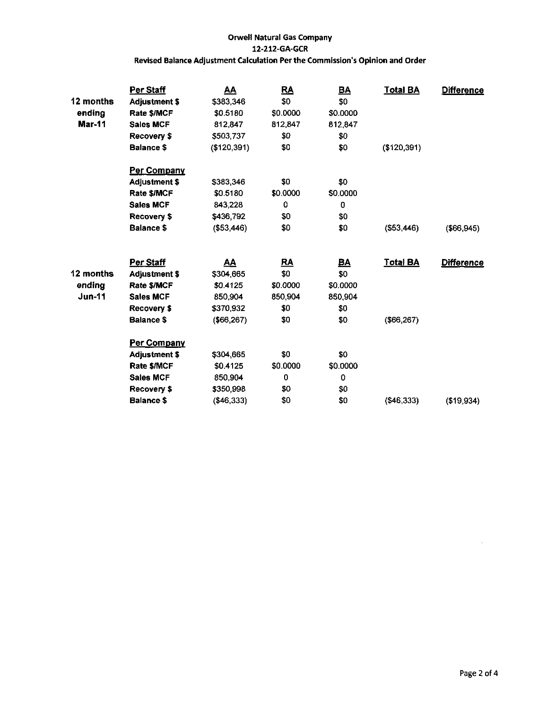|               | Per Staff            | <u>AA</u>   | <u>RA</u> | <u>BA</u> | <b>Total BA</b> | <b>Difference</b> |
|---------------|----------------------|-------------|-----------|-----------|-----------------|-------------------|
| 12 months     | <b>Adjustment \$</b> | \$383,346   | \$0       | \$0       |                 |                   |
| ending        | Rate \$/MCF          | \$0.5180    | \$0.0000  | \$0.0000  |                 |                   |
| <b>Mar-11</b> | <b>Sales MCF</b>     | 812,847     | 812,847   | 812,847   |                 |                   |
|               | Recovery \$          | \$503,737   | \$0       | \$0       |                 |                   |
|               | <b>Balance \$</b>    | (\$120,391) | \$0       | \$0       | (\$120,391)     |                   |
|               | Per Company          |             |           |           |                 |                   |
|               | <b>Adjustment \$</b> | \$383,346   | \$0       | \$0       |                 |                   |
|               | Rate \$/MCF          | \$0.5180    | \$0.0000  | \$0.0000  |                 |                   |
|               | <b>Sales MCF</b>     | 843,228     | 0         | 0         |                 |                   |
|               | Recovery \$          | \$436,792   | \$0       | \$0       |                 |                   |
|               | <b>Balance \$</b>    | ( \$53,446) | \$0       | \$0       | ( \$53,446)     | (\$66,945)        |
|               | Per Staff            | <u>AA</u>   | <u>RA</u> | <u>BA</u> | <b>Total BA</b> | <b>Difference</b> |
| 12 months     | <b>Adjustment \$</b> | \$304,665   | \$0       | \$0       |                 |                   |
| ending        | Rate \$/MCF          | \$0.4125    | \$0.0000  | \$0.0000  |                 |                   |
| $Jun-11$      | <b>Sales MCF</b>     | 850,904     | 850.904   | 850,904   |                 |                   |
|               | Recovery \$          | \$370,932   | \$0       | \$0       |                 |                   |
|               | <b>Balance \$</b>    | (\$66, 267) | \$0       | \$0       | (\$66, 267)     |                   |
|               | Per Company          |             |           |           |                 |                   |
|               | <b>Adjustment \$</b> | \$304,665   | \$0       | \$0       |                 |                   |
|               | Rate \$/MCF          | \$0.4125    | \$0.0000  | \$0.0000  |                 |                   |
|               | <b>Sales MCF</b>     | 850,904     | 0         | 0         |                 |                   |
|               | Recovery \$          | \$350,998   | \$0       | \$0       |                 |                   |
|               | <b>Balance \$</b>    | $(*46,333)$ | \$0       | \$0       | ( \$46, 333)    | (\$19,934)        |
|               |                      |             |           |           |                 |                   |

 $\bar{z}$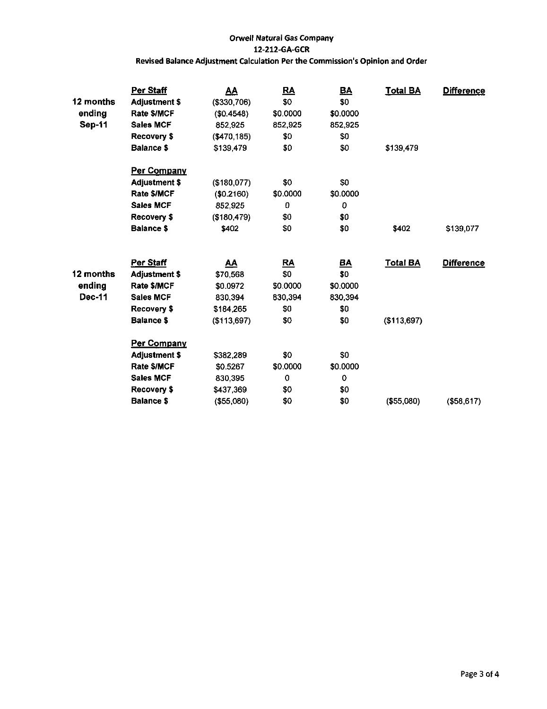|               | Per Staff            | <u>AA</u>     | RA                        | <b>BA</b> | <b>Total BA</b> | <b>Difference</b> |
|---------------|----------------------|---------------|---------------------------|-----------|-----------------|-------------------|
| 12 months     | <b>Adjustment \$</b> | ( \$330, 706) | \$0                       | \$0       |                 |                   |
| ending        | Rate \$/MCF          | (\$0.4548)    | \$0.0000                  | \$0.0000  |                 |                   |
| <b>Sep-11</b> | <b>Sales MCF</b>     | 852,925       | 852,925                   | 852,925   |                 |                   |
|               | Recovery \$          | ( \$470.185)  | \$0                       | \$0       |                 |                   |
|               | Balance \$           | \$139,479     | \$0                       | \$0       | \$139,479       |                   |
|               | <u>Per Company</u>   |               |                           |           |                 |                   |
|               | <b>Adjustment \$</b> | (\$180,077)   | \$0                       | \$0       |                 |                   |
|               | Rate \$/MCF          | (\$0.2160)    | \$0.0000                  | \$0.0000  |                 |                   |
|               | <b>Sales MCF</b>     | 852.925       | 0                         | 0         |                 |                   |
|               | Recovery \$          | (\$180,479)   | \$0                       | \$0       |                 |                   |
|               | <b>Balance \$</b>    | \$402         | \$0                       | \$0       | \$402           | \$139,077         |
|               | Per Staff            | <u>AA</u>     | $\underline{\mathsf{RA}}$ | <u>BA</u> | <b>Total BA</b> | <b>Difference</b> |
| 12 months     | <b>Adjustment \$</b> | \$70,568      | \$0                       | \$0       |                 |                   |
| ending        | Rate \$/MCF          | \$0.0972      | \$0.0000                  | \$0.0000  |                 |                   |
| <b>Dec-11</b> | <b>Sales MCF</b>     | 830,394       | 830,394                   | 830,394   |                 |                   |
|               | Recovery \$          | \$184,265     | \$0                       | \$0       |                 |                   |
|               | <b>Balance \$</b>    | ( \$113,697)  | 50                        | \$0       | (\$113,697)     |                   |
|               | <u>Per Company</u>   |               |                           |           |                 |                   |
|               | <b>Adjustment \$</b> | \$382,289     | \$0                       | \$0       |                 |                   |
|               | Rate \$/MCF          | \$0.5267      | \$0.0000                  | \$0.0000  |                 |                   |
|               | <b>Sales MCF</b>     | 830,395       | 0                         | 0         |                 |                   |
|               | Recovery \$          | \$437,369     | \$0                       | \$0       |                 |                   |
|               | <b>Balance \$</b>    | ( \$55,080)   | \$0                       | \$0       | (\$55,080)      | (\$58,617)        |
|               |                      |               |                           |           |                 |                   |